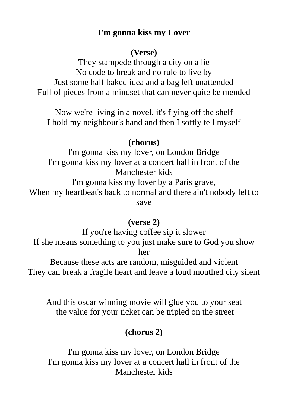## **I'm gonna kiss my Lover**

#### **(Verse)**

They stampede through a city on a lie No code to break and no rule to live by Just some half baked idea and a bag left unattended Full of pieces from a mindset that can never quite be mended

Now we're living in a novel, it's flying off the shelf I hold my neighbour's hand and then I softly tell myself

#### **(chorus)**

I'm gonna kiss my lover, on London Bridge I'm gonna kiss my lover at a concert hall in front of the Manchester kids I'm gonna kiss my lover by a Paris grave, When my heartbeat's back to normal and there ain't nobody left to save

### **(verse 2)**

If you're having coffee sip it slower If she means something to you just make sure to God you show her

Because these acts are random, misguided and violent They can break a fragile heart and leave a loud mouthed city silent

And this oscar winning movie will glue you to your seat the value for your ticket can be tripled on the street

# **(chorus 2)**

I'm gonna kiss my lover, on London Bridge I'm gonna kiss my lover at a concert hall in front of the Manchester kids